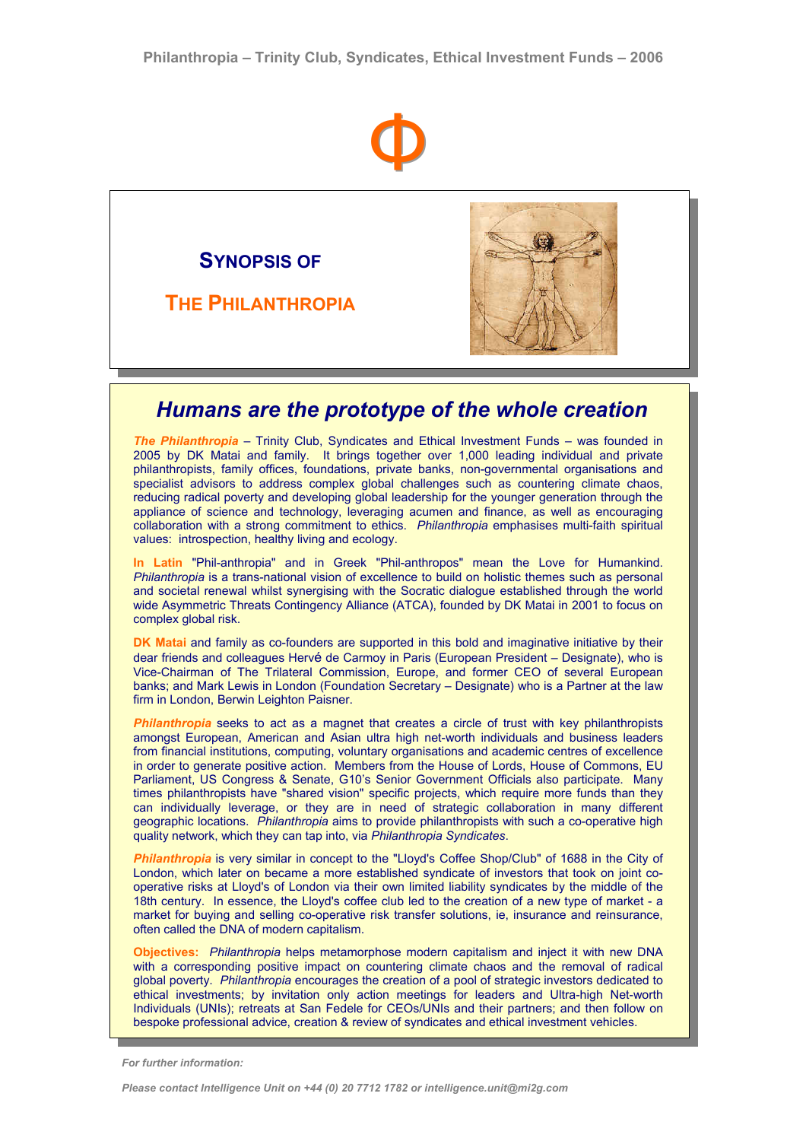

**SYNOPSIS OF** 

**THE PHILANTHROPIA**



## *Humans are the prototype of the whole creation*

*The Philanthropia* – Trinity Club, Syndicates and Ethical Investment Funds – was founded in 2005 by DK Matai and family. It brings together over 1,000 leading individual and private philanthropists, family offices, foundations, private banks, non-governmental organisations and specialist advisors to address complex global challenges such as countering climate chaos, reducing radical poverty and developing global leadership for the younger generation through the appliance of science and technology, leveraging acumen and finance, as well as encouraging collaboration with a strong commitment to ethics. *Philanthropia* emphasises multi-faith spiritual values: introspection, healthy living and ecology.

**In Latin** "Phil-anthropia" and in Greek "Phil-anthropos" mean the Love for Humankind. *Philanthropia* is a trans-national vision of excellence to build on holistic themes such as personal and societal renewal whilst synergising with the Socratic dialogue established through the world wide Asymmetric Threats Contingency Alliance (ATCA), founded by DK Matai in 2001 to focus on complex global risk.

**DK Matai** and family as co-founders are supported in this bold and imaginative initiative by their dear friends and colleagues Hervé de Carmoy in Paris (European President – Designate), who is Vice-Chairman of The Trilateral Commission, Europe, and former CEO of several European banks; and Mark Lewis in London (Foundation Secretary – Designate) who is a Partner at the law firm in London, Berwin Leighton Paisner.

*Philanthropia* seeks to act as a magnet that creates a circle of trust with key philanthropists amongst European, American and Asian ultra high net-worth individuals and business leaders from financial institutions, computing, voluntary organisations and academic centres of excellence in order to generate positive action. Members from the House of Lords, House of Commons, EU Parliament, US Congress & Senate, G10's Senior Government Officials also participate. Many times philanthropists have "shared vision" specific projects, which require more funds than they can individually leverage, or they are in need of strategic collaboration in many different geographic locations. *Philanthropia* aims to provide philanthropists with such a co-operative high quality network, which they can tap into, via *Philanthropia Syndicates*.

*Philanthropia* is very similar in concept to the "Lloyd's Coffee Shop/Club" of 1688 in the City of London, which later on became a more established syndicate of investors that took on joint cooperative risks at Lloyd's of London via their own limited liability syndicates by the middle of the 18th century. In essence, the Lloyd's coffee club led to the creation of a new type of market - a market for buying and selling co-operative risk transfer solutions, ie, insurance and reinsurance, often called the DNA of modern capitalism.

**Objectives:** *Philanthropia* helps metamorphose modern capitalism and inject it with new DNA with a corresponding positive impact on countering climate chaos and the removal of radical global poverty. *Philanthropia* encourages the creation of a pool of strategic investors dedicated to ethical investments; by invitation only action meetings for leaders and Ultra-high Net-worth Individuals (UNIs); retreats at San Fedele for CEOs/UNIs and their partners; and then follow on bespoke professional advice, creation & review of syndicates and ethical investment vehicles.

*For further information:*